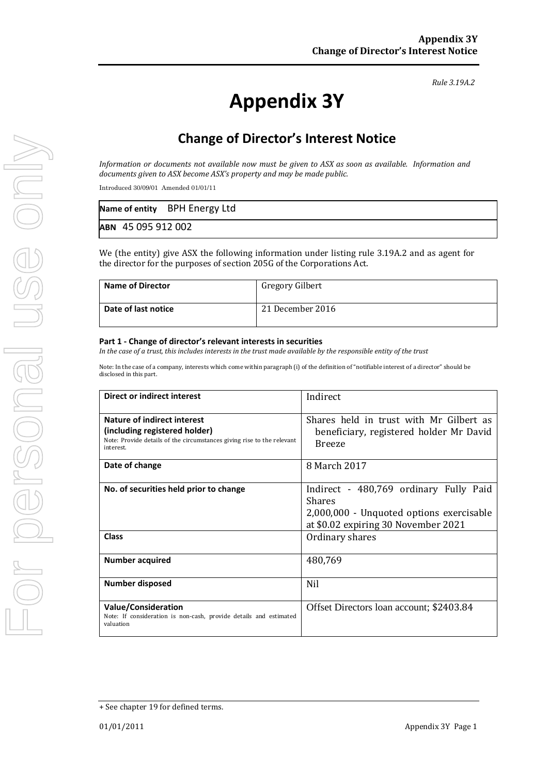#### *Rule 3.19A.2*

# **Appendix 3Y**

# **Change of Director's Interest Notice**

*Information or documents not available now must be given to ASX as soon as available. Information and documents given to ASX become ASX's property and may be made public.*

Introduced 30/09/01 Amended 01/01/11

|                    | Name of entity BPH Energy Ltd |  |
|--------------------|-------------------------------|--|
| ABN 45 095 912 002 |                               |  |

We (the entity) give ASX the following information under listing rule 3.19A.2 and as agent for the director for the purposes of section 205G of the Corporations Act.

| <b>Name of Director</b> | <b>Gregory Gilbert</b> |
|-------------------------|------------------------|
| Date of last notice     | 21 December 2016       |

#### **Part 1 - Change of director's relevant interests in securities**

*In the case of a trust, this includes interests in the trust made available by the responsible entity of the trust*

Note: In the case of a company, interests which come within paragraph (i) of the definition of "notifiable interest of a director" should be disclosed in this part.

| Direct or indirect interest                                                                                                                         | Indirect                                                                                                                                   |  |
|-----------------------------------------------------------------------------------------------------------------------------------------------------|--------------------------------------------------------------------------------------------------------------------------------------------|--|
| Nature of indirect interest<br>(including registered holder)<br>Note: Provide details of the circumstances giving rise to the relevant<br>interest. | Shares held in trust with Mr Gilbert as<br>beneficiary, registered holder Mr David<br><b>Breeze</b>                                        |  |
| Date of change                                                                                                                                      | 8 March 2017                                                                                                                               |  |
| No. of securities held prior to change                                                                                                              | Indirect - 480,769 ordinary Fully Paid<br><b>Shares</b><br>2,000,000 - Unquoted options exercisable<br>at \$0.02 expiring 30 November 2021 |  |
| <b>Class</b>                                                                                                                                        | Ordinary shares                                                                                                                            |  |
| <b>Number acquired</b>                                                                                                                              | 480,769                                                                                                                                    |  |
| Number disposed                                                                                                                                     | <b>Nil</b>                                                                                                                                 |  |
| <b>Value/Consideration</b><br>Note: If consideration is non-cash, provide details and estimated<br>valuation                                        | Offset Directors loan account; \$2403.84                                                                                                   |  |

<sup>+</sup> See chapter 19 for defined terms.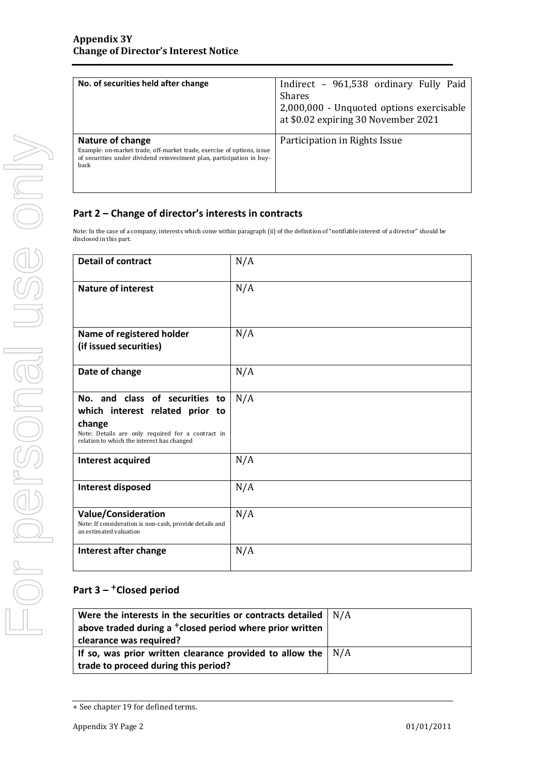| No. of securities held after change                                                                                                                                         | Indirect - 961,538 ordinary Fully Paid<br><b>Shares</b><br>2,000,000 - Unquoted options exercisable<br>at \$0.02 expiring 30 November 2021 |
|-----------------------------------------------------------------------------------------------------------------------------------------------------------------------------|--------------------------------------------------------------------------------------------------------------------------------------------|
| Nature of change<br>Example: on-market trade, off-market trade, exercise of options, issue<br>of securities under dividend reinvestment plan, participation in buy-<br>back | Participation in Rights Issue                                                                                                              |

### **Part 2 – Change of director's interests in contracts**

Note: In the case of a company, interests which come within paragraph (ii) of the definition of "notifiable interest of a director" should be disclosed in this part.

| <b>Detail of contract</b>                                                                                                                                                      | N/A |
|--------------------------------------------------------------------------------------------------------------------------------------------------------------------------------|-----|
| <b>Nature of interest</b>                                                                                                                                                      | N/A |
| Name of registered holder<br>(if issued securities)                                                                                                                            | N/A |
| Date of change                                                                                                                                                                 | N/A |
| No. and class of securities to<br>which interest related prior to<br>change<br>Note: Details are only required for a contract in<br>relation to which the interest has changed | N/A |
| <b>Interest acquired</b>                                                                                                                                                       | N/A |
| <b>Interest disposed</b>                                                                                                                                                       | N/A |
| <b>Value/Consideration</b><br>Note: If consideration is non-cash, provide details and<br>an estimated valuation                                                                | N/A |
| Interest after change                                                                                                                                                          | N/A |

## **Part 3 –** +**Closed period**

| Were the interests in the securities or contracts detailed           | N/A |
|----------------------------------------------------------------------|-----|
| above traded during a <sup>+</sup> closed period where prior written |     |
| clearance was required?                                              |     |
| If so, was prior written clearance provided to allow the $\vert$ N/A |     |
| trade to proceed during this period?                                 |     |

<sup>+</sup> See chapter 19 for defined terms.